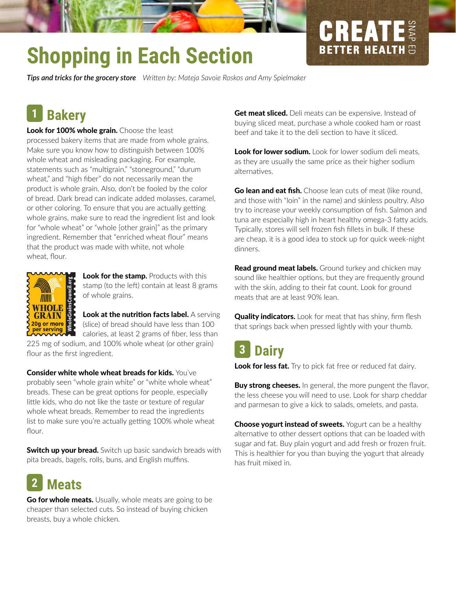# **Shopping in Each Section**

*Tips and tricks for the grocery store Writen by: Mateja Savoie Roskos and Amy Spielmaker*

#### **Bakery 1**

Look for 100% whole grain. Choose the least processed bakery items that are made from whole grains. Make sure you know how to distinguish between 100% whole wheat and misleading packaging. For example, statements such as "multigrain," "stoneground," "durum wheat," and "high fber" do not necessarily mean the product is whole grain. Also, don't be fooled by the color of bread. Dark bread can indicate added molasses, caramel, or other coloring. To ensure that you are actually getting whole grains, make sure to read the ingredient list and look for "whole wheat" or "whole [other grain]" as the primary ingredient. Remember that "enriched wheat flour" means that the product was made with white, not whole wheat. flour.



Look for the stamp. Products with this stamp (to the left) contain at least 8 grams of whole grains.

Look at the nutrition facts label. A serving (slice) of bread should have less than 100

calories, at least 2 grams of fber, less than 225 mg of sodium, and 100% whole wheat (or other grain) flour as the first ingredient.

Consider white whole wheat breads for kids. You've probably seen "whole grain white" or "white whole wheat" breads. These can be great options for people, especially litle kids, who do not like the taste or texture of regular whole wheat breads. Remember to read the ingredients list to make sure you're actually getting 100% whole wheat flour.

**Switch up your bread.** Switch up basic sandwich breads with pita breads, bagels, rolls, buns, and English muffins.

#### **Meats 2**

Go for whole meats. Usually, whole meats are going to be cheaper than selected cuts. So instead of buying chicken breasts, buy a whole chicken.

Get meat sliced. Deli meats can be expensive. Instead of buying sliced meat, purchase a whole cooked ham or roast beef and take it to the deli section to have it sliced.

**CREATE** 

Look for lower sodium. Look for lower sodium deli meats, as they are usually the same price as their higher sodium alternatves.

**Go lean and eat fish.** Choose lean cuts of meat (like round, and those with "loin" in the name) and skinless poultry. Also try to increase your weekly consumption of fish. Salmon and tuna are especially high in heart healthy omega-3 faty acids. Typically, stores will sell frozen fsh fllets in bulk. If these are cheap, it is a good idea to stock up for quick week-night dinners.

Read ground meat labels. Ground turkey and chicken may sound like healthier options, but they are frequently ground with the skin, adding to their fat count. Look for ground meats that are at least 90% lean.

**Quality indicators.** Look for meat that has shiny, firm flesh that springs back when pressed lightly with your thumb.

#### **Dairy 3**

Look for less fat. Try to pick fat free or reduced fat dairy.

**Buy strong cheeses.** In general, the more pungent the flavor, the less cheese you will need to use. Look for sharp cheddar and parmesan to give a kick to salads, omelets, and pasta.

**Choose yogurt instead of sweets.** Yogurt can be a healthy alternative to other dessert options that can be loaded with sugar and fat. Buy plain yogurt and add fresh or frozen fruit. This is healthier for you than buying the yogurt that already has fruit mixed in.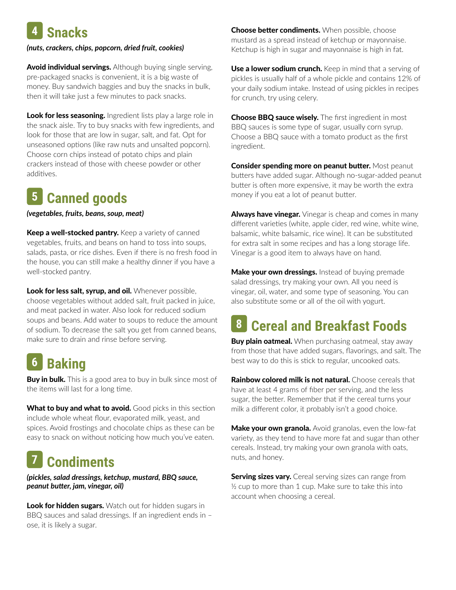## **4 Snacks**

#### *(nuts, crackers, chips, popcorn, dried fruit, cookies)*

**Avoid individual servings.** Although buying single serving, pre-packaged snacks is convenient, it is a big waste of money. Buy sandwich baggies and buy the snacks in bulk, then it will take just a few minutes to pack snacks.

**Look for less seasoning.** Ingredient lists play a large role in the snack aisle. Try to buy snacks with few ingredients, and look for those that are low in sugar, salt, and fat. Opt for unseasoned options (like raw nuts and unsalted popcorn). Choose corn chips instead of potato chips and plain crackers instead of those with cheese powder or other additives.

#### **Canned goods 5**

*(vegetables, fruits, beans, soup, meat)*

Keep a well-stocked pantry. Keep a variety of canned vegetables, fruits, and beans on hand to toss into soups, salads, pasta, or rice dishes. Even if there is no fresh food in the house, you can still make a healthy dinner if you have a well-stocked pantry.

Look for less salt, syrup, and oil. Whenever possible, choose vegetables without added salt, fruit packed in juice, and meat packed in water. Also look for reduced sodium soups and beans. Add water to soups to reduce the amount of sodium. To decrease the salt you get from canned beans, make sure to drain and rinse before serving.

#### **Baking 6**

**Buy in bulk.** This is a good area to buy in bulk since most of the items will last for a long time.

What to buy and what to avoid. Good picks in this section include whole wheat flour, evaporated milk, yeast, and spices. Avoid frostings and chocolate chips as these can be easy to snack on without noticing how much you've eaten.

#### **Condiments 7**

*(pickles, salad dressings, ketchup, mustard, BBQ sauce, peanut buter, jam, vinegar, oil)*

**Look for hidden sugars.** Watch out for hidden sugars in BBQ sauces and salad dressings. If an ingredient ends in – ose, it is likely a sugar.

**Choose better condiments.** When possible, choose mustard as a spread instead of ketchup or mayonnaise. Ketchup is high in sugar and mayonnaise is high in fat.

Use a lower sodium crunch. Keep in mind that a serving of pickles is usually half of a whole pickle and contains 12% of your daily sodium intake. Instead of using pickles in recipes for crunch, try using celery.

**Choose BBQ sauce wisely.** The first ingredient in most BBQ sauces is some type of sugar, usually corn syrup. Choose a BBQ sauce with a tomato product as the frst ingredient.

**Consider spending more on peanut butter.** Most peanut butters have added sugar. Although no-sugar-added peanut butter is often more expensive, it may be worth the extra money if you eat a lot of peanut butter.

**Always have vinegar.** Vinegar is cheap and comes in many different varieties (white, apple cider, red wine, white wine, balsamic, white balsamic, rice wine). It can be substituted for extra salt in some recipes and has a long storage life. Vinegar is a good item to always have on hand.

**Make your own dressings.** Instead of buying premade salad dressings, try making your own. All you need is vinegar, oil, water, and some type of seasoning. You can also substitute some or all of the oil with yogurt.

### **Cereal and Breakfast Foods 8**

**Buy plain oatmeal.** When purchasing oatmeal, stay away from those that have added sugars, favorings, and salt. The best way to do this is stick to regular, uncooked oats.

**Rainbow colored milk is not natural.** Choose cereals that have at least 4 grams of fber per serving, and the less sugar, the better. Remember that if the cereal turns your milk a diferent color, it probably isn't a good choice.

Make your own granola. Avoid granolas, even the low-fat variety, as they tend to have more fat and sugar than other cereals. Instead, try making your own granola with oats, nuts, and honey.

**Serving sizes vary.** Cereal serving sizes can range from ½ cup to more than 1 cup. Make sure to take this into account when choosing a cereal.